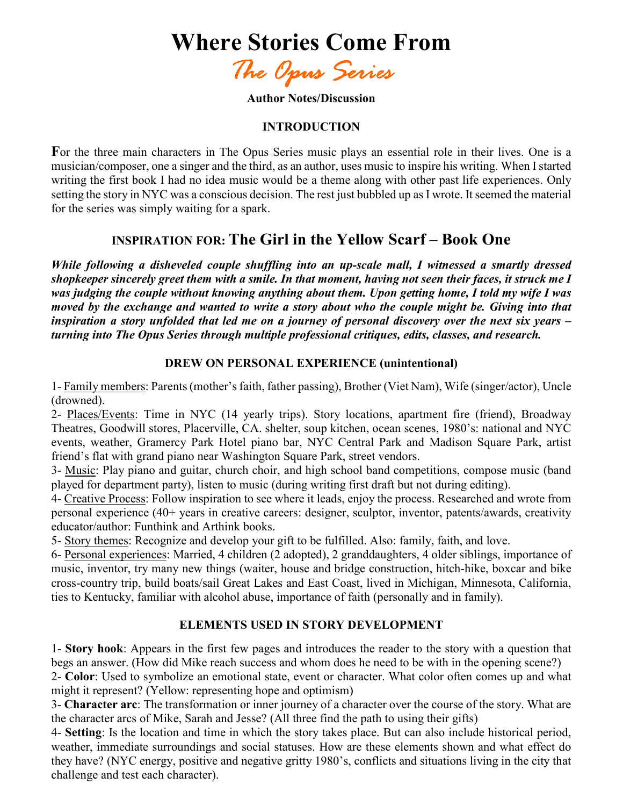# **Where Stories Come From**  *The Opus Series*

#### **Author Notes/Discussion**

#### **INTRODUCTION**

For the three main characters in The Opus Series music plays an essential role in their lives. One is a musician/composer, one a singer and the third, as an author, uses music to inspire his writing. When I started writing the first book I had no idea music would be a theme along with other past life experiences. Only setting the story in NYC was a conscious decision. The rest just bubbled up as I wrote. It seemed the material for the series was simply waiting for a spark.

### **INSPIRATION FOR: The Girl in the Yellow Scarf** *–* **Book One**

*While following a disheveled couple shuffling into an up-scale mall, I witnessed a smartly dressed shopkeeper sincerely greet them with a smile. In that moment, having not seen their faces, it struck me I was judging the couple without knowing anything about them. Upon getting home, I told my wife I was moved by the exchange and wanted to write a story about who the couple might be. Giving into that inspiration a story unfolded that led me on a journey of personal discovery over the next six years – turning into The Opus Series through multiple professional critiques, edits, classes, and research.* 

#### **DREW ON PERSONAL EXPERIENCE (unintentional)**

1- Family members: Parents (mother's faith, father passing), Brother (Viet Nam), Wife (singer/actor), Uncle (drowned).

2- Places/Events: Time in NYC (14 yearly trips). Story locations, apartment fire (friend), Broadway Theatres, Goodwill stores, Placerville, CA. shelter, soup kitchen, ocean scenes, 1980's: national and NYC events, weather, Gramercy Park Hotel piano bar, NYC Central Park and Madison Square Park, artist friend's flat with grand piano near Washington Square Park, street vendors.

3- Music: Play piano and guitar, church choir, and high school band competitions, compose music (band played for department party), listen to music (during writing first draft but not during editing).

4- Creative Process: Follow inspiration to see where it leads, enjoy the process. Researched and wrote from personal experience (40+ years in creative careers: designer, sculptor, inventor, patents/awards, creativity educator/author: Funthink and Arthink books.

5- Story themes: Recognize and develop your gift to be fulfilled. Also: family, faith, and love.

6- Personal experiences: Married, 4 children (2 adopted), 2 granddaughters, 4 older siblings, importance of music, inventor, try many new things (waiter, house and bridge construction, hitch-hike, boxcar and bike cross-country trip, build boats/sail Great Lakes and East Coast, lived in Michigan, Minnesota, California, ties to Kentucky, familiar with alcohol abuse, importance of faith (personally and in family).

#### **ELEMENTS USED IN STORY DEVELOPMENT**

1- **Story hook**: Appears in the first few pages and introduces the reader to the story with a question that begs an answer. (How did Mike reach success and whom does he need to be with in the opening scene?)

2- **Color**: Used to symbolize an emotional state, event or character. What color often comes up and what might it represent? (Yellow: representing hope and optimism)

3- **Character arc**: The transformation or inner journey of a character over the course of the story. What are the character arcs of Mike, Sarah and Jesse? (All three find the path to using their gifts)

4- **Setting**: Is the location and time in which the story takes place. But can also include historical period, weather, immediate surroundings and social statuses. How are these elements shown and what effect do they have? (NYC energy, positive and negative gritty 1980's, conflicts and situations living in the city that challenge and test each character).